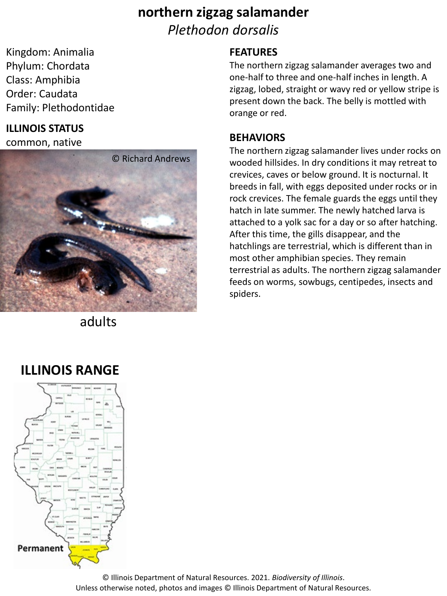# **northern zigzag salamander** *Plethodon dorsalis*

Kingdom: Animalia Phylum: Chordata Class: Amphibia Order: Caudata Family: Plethodontidae

### **ILLINOIS STATUS**

common, native



adults

### **FEATURES**

The northern zigzag salamander averages two and one-half to three and one-half inches in length. A zigzag, lobed, straight or wavy red or yellow stripe is present down the back. The belly is mottled with orange or red.

#### **BEHAVIORS**

The northern zigzag salamander lives under rocks on wooded hillsides. In dry conditions it may retreat to crevices, caves or below ground. It is nocturnal. It breeds in fall, with eggs deposited under rocks or in rock crevices. The female guards the eggs until they hatch in late summer. The newly hatched larva is attached to a yolk sac for a day or so after hatching. After this time, the gills disappear, and the hatchlings are terrestrial, which is different than in most other amphibian species. They remain terrestrial as adults. The northern zigzag salamander feeds on worms, sowbugs, centipedes, insects and spiders.

# **ILLINOIS RANGE**



© Illinois Department of Natural Resources. 2021. *Biodiversity of Illinois*. Unless otherwise noted, photos and images © Illinois Department of Natural Resources.